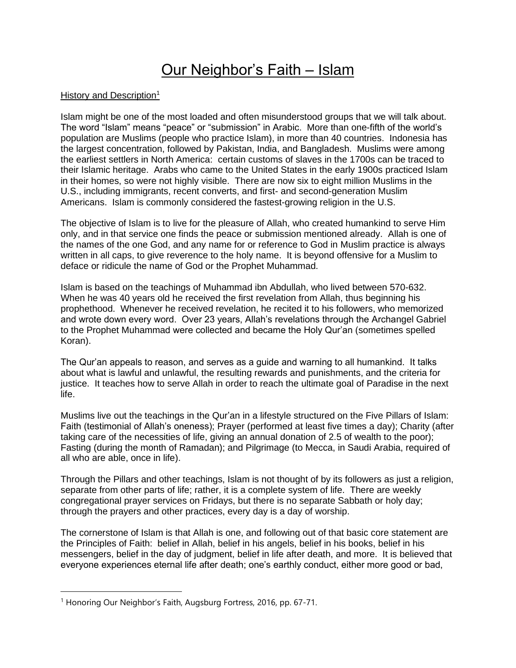## Our Neighbor's Faith – Islam

## History and Description<sup>1</sup>

Islam might be one of the most loaded and often misunderstood groups that we will talk about. The word "Islam" means "peace" or "submission" in Arabic. More than one-fifth of the world's population are Muslims (people who practice Islam), in more than 40 countries. Indonesia has the largest concentration, followed by Pakistan, India, and Bangladesh. Muslims were among the earliest settlers in North America: certain customs of slaves in the 1700s can be traced to their Islamic heritage. Arabs who came to the United States in the early 1900s practiced Islam in their homes, so were not highly visible. There are now six to eight million Muslims in the U.S., including immigrants, recent converts, and first- and second-generation Muslim Americans. Islam is commonly considered the fastest-growing religion in the U.S.

The objective of Islam is to live for the pleasure of Allah, who created humankind to serve Him only, and in that service one finds the peace or submission mentioned already. Allah is one of the names of the one God, and any name for or reference to God in Muslim practice is always written in all caps, to give reverence to the holy name. It is beyond offensive for a Muslim to deface or ridicule the name of God or the Prophet Muhammad.

Islam is based on the teachings of Muhammad ibn Abdullah, who lived between 570-632. When he was 40 years old he received the first revelation from Allah, thus beginning his prophethood. Whenever he received revelation, he recited it to his followers, who memorized and wrote down every word. Over 23 years, Allah's revelations through the Archangel Gabriel to the Prophet Muhammad were collected and became the Holy Qur'an (sometimes spelled Koran).

The Qur'an appeals to reason, and serves as a guide and warning to all humankind. It talks about what is lawful and unlawful, the resulting rewards and punishments, and the criteria for justice. It teaches how to serve Allah in order to reach the ultimate goal of Paradise in the next life.

Muslims live out the teachings in the Qur'an in a lifestyle structured on the Five Pillars of Islam: Faith (testimonial of Allah's oneness); Prayer (performed at least five times a day); Charity (after taking care of the necessities of life, giving an annual donation of 2.5 of wealth to the poor); Fasting (during the month of Ramadan); and Pilgrimage (to Mecca, in Saudi Arabia, required of all who are able, once in life).

Through the Pillars and other teachings, Islam is not thought of by its followers as just a religion, separate from other parts of life; rather, it is a complete system of life. There are weekly congregational prayer services on Fridays, but there is no separate Sabbath or holy day; through the prayers and other practices, every day is a day of worship.

The cornerstone of Islam is that Allah is one, and following out of that basic core statement are the Principles of Faith: belief in Allah, belief in his angels, belief in his books, belief in his messengers, belief in the day of judgment, belief in life after death, and more. It is believed that everyone experiences eternal life after death; one's earthly conduct, either more good or bad,

<sup>&</sup>lt;sup>1</sup> Honoring Our Neighbor's Faith, Augsburg Fortress, 2016, pp. 67-71.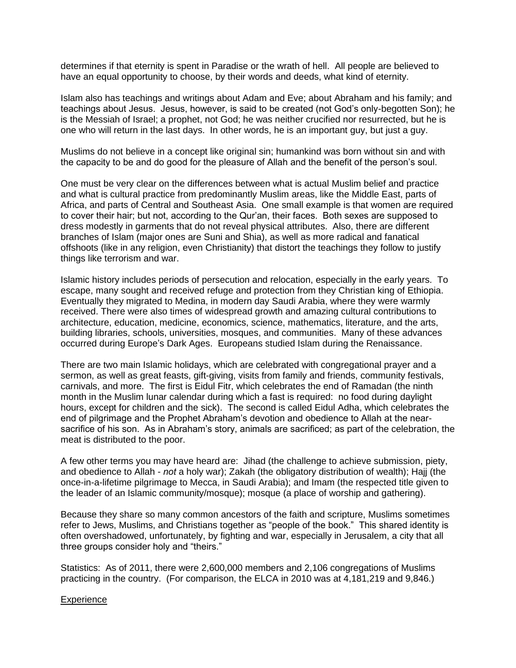determines if that eternity is spent in Paradise or the wrath of hell. All people are believed to have an equal opportunity to choose, by their words and deeds, what kind of eternity.

Islam also has teachings and writings about Adam and Eve; about Abraham and his family; and teachings about Jesus. Jesus, however, is said to be created (not God's only-begotten Son); he is the Messiah of Israel; a prophet, not God; he was neither crucified nor resurrected, but he is one who will return in the last days. In other words, he is an important guy, but just a guy.

Muslims do not believe in a concept like original sin; humankind was born without sin and with the capacity to be and do good for the pleasure of Allah and the benefit of the person's soul.

One must be very clear on the differences between what is actual Muslim belief and practice and what is cultural practice from predominantly Muslim areas, like the Middle East, parts of Africa, and parts of Central and Southeast Asia. One small example is that women are required to cover their hair; but not, according to the Qur'an, their faces. Both sexes are supposed to dress modestly in garments that do not reveal physical attributes. Also, there are different branches of Islam (major ones are Suni and Shia), as well as more radical and fanatical offshoots (like in any religion, even Christianity) that distort the teachings they follow to justify things like terrorism and war.

Islamic history includes periods of persecution and relocation, especially in the early years. To escape, many sought and received refuge and protection from they Christian king of Ethiopia. Eventually they migrated to Medina, in modern day Saudi Arabia, where they were warmly received. There were also times of widespread growth and amazing cultural contributions to architecture, education, medicine, economics, science, mathematics, literature, and the arts, building libraries, schools, universities, mosques, and communities. Many of these advances occurred during Europe's Dark Ages. Europeans studied Islam during the Renaissance.

There are two main Islamic holidays, which are celebrated with congregational prayer and a sermon, as well as great feasts, gift-giving, visits from family and friends, community festivals, carnivals, and more. The first is Eidul Fitr, which celebrates the end of Ramadan (the ninth month in the Muslim lunar calendar during which a fast is required: no food during daylight hours, except for children and the sick). The second is called Eidul Adha, which celebrates the end of pilgrimage and the Prophet Abraham's devotion and obedience to Allah at the nearsacrifice of his son. As in Abraham's story, animals are sacrificed; as part of the celebration, the meat is distributed to the poor.

A few other terms you may have heard are: Jihad (the challenge to achieve submission, piety, and obedience to Allah - *not* a holy war); Zakah (the obligatory distribution of wealth); Hajj (the once-in-a-lifetime pilgrimage to Mecca, in Saudi Arabia); and Imam (the respected title given to the leader of an Islamic community/mosque); mosque (a place of worship and gathering).

Because they share so many common ancestors of the faith and scripture, Muslims sometimes refer to Jews, Muslims, and Christians together as "people of the book." This shared identity is often overshadowed, unfortunately, by fighting and war, especially in Jerusalem, a city that all three groups consider holy and "theirs."

Statistics: As of 2011, there were 2,600,000 members and 2,106 congregations of Muslims practicing in the country. (For comparison, the ELCA in 2010 was at 4,181,219 and 9,846.)

## **Experience**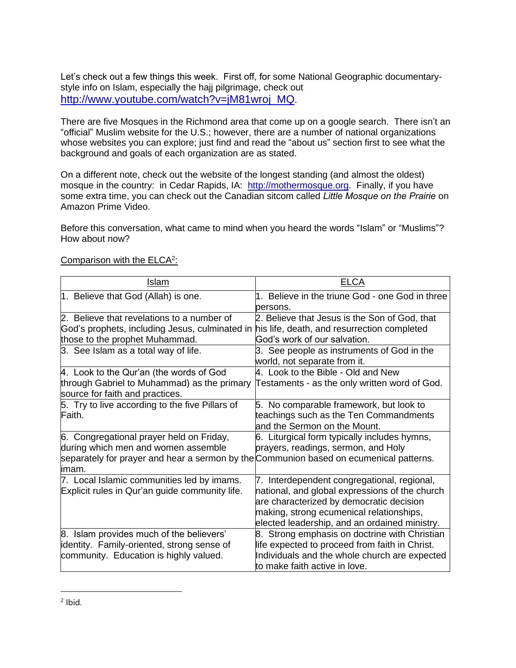Let's check out a few things this week. First off, for some National Geographic documentarystyle info on Islam, especially the hajj pilgrimage, check out http://www.youtube.com/watch?v=iM81wroj\_MQ.

There are five Mosques in the Richmond area that come up on a google search. There isn't an "official" Muslim website for the U.S.; however, there are a number of national organizations whose websites you can explore; just find and read the "about us" section first to see what the background and goals of each organization are as stated.

On a different note, check out the website of the longest standing (and almost the oldest) mosque in the country: in Cedar Rapids, IA: http://mothermosque.org. Finally, if you have some extra time, you can check out the Canadian sitcom called *Little Mosque on the Prairie* on Amazon Prime Video.

Before this conversation, what came to mind when you heard the words "Islam" or "Muslims"? How about now?

| <b>Islam</b>                                                                                                                                                                        | ELCA                                                                                                                                                                                                                                   |
|-------------------------------------------------------------------------------------------------------------------------------------------------------------------------------------|----------------------------------------------------------------------------------------------------------------------------------------------------------------------------------------------------------------------------------------|
| 1. Believe that God (Allah) is one.                                                                                                                                                 | 1. Believe in the triune God - one God in three                                                                                                                                                                                        |
|                                                                                                                                                                                     | persons.                                                                                                                                                                                                                               |
| 2. Believe that revelations to a number of                                                                                                                                          | 2. Believe that Jesus is the Son of God, that                                                                                                                                                                                          |
| God's prophets, including Jesus, culminated in his life, death, and resurrection completed                                                                                          |                                                                                                                                                                                                                                        |
| those to the prophet Muhammad.                                                                                                                                                      | God's work of our salvation.                                                                                                                                                                                                           |
| 3. See Islam as a total way of life.                                                                                                                                                | 3. See people as instruments of God in the<br>world, not separate from it.                                                                                                                                                             |
| 4. Look to the Qur'an (the words of God                                                                                                                                             | 4. Look to the Bible - Old and New                                                                                                                                                                                                     |
| through Gabriel to Muhammad) as the primary<br>source for faith and practices.                                                                                                      | Testaments - as the only written word of God.                                                                                                                                                                                          |
| 5. Try to live according to the five Pillars of<br>Faith.                                                                                                                           | 5. No comparable framework, but look to<br>teachings such as the Ten Commandments<br>land the Sermon on the Mount.                                                                                                                     |
| 6. Congregational prayer held on Friday,<br>during which men and women assemble<br>separately for prayer and hear a sermon by the Communion based on ecumenical patterns.<br>limam. | 6. Liturgical form typically includes hymns,<br>prayers, readings, sermon, and Holy                                                                                                                                                    |
| 7. Local Islamic communities led by imams.<br>Explicit rules in Qur'an guide community life.                                                                                        | 7. Interdependent congregational, regional,<br>national, and global expressions of the church<br>are characterized by democratic decision<br>making, strong ecumenical relationships,<br>elected leadership, and an ordained ministry. |
| 8. Islam provides much of the believers'                                                                                                                                            | 8. Strong emphasis on doctrine with Christian                                                                                                                                                                                          |
| identity. Family-oriented, strong sense of                                                                                                                                          | life expected to proceed from faith in Christ.                                                                                                                                                                                         |
| community. Education is highly valued.                                                                                                                                              | Individuals and the whole church are expected<br>tto make faith active in love.                                                                                                                                                        |

## Comparison with the ELCA<sup>2</sup>: